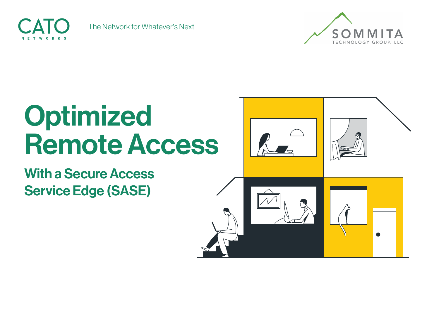

The Network for Whatever's Next



# Optimized **Remote Access**

**With a Secure Access Service Edge (SASE)** 

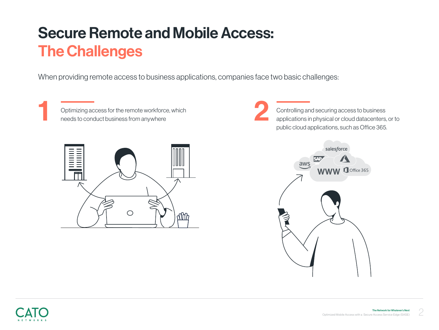### **Secure Remote and Mobile Access: The Challenges**

When providing remote access to business applications, companies face two basic challenges:

Optimizing access for the remote workforce, which needs to conduct business from anywhere Optimizing access for the remote workforce, which<br>needs to conduct business from anywhere



Controlling and securing access to business applications in physical or cloud datacenters, or to public cloud applications, such as Office 365.



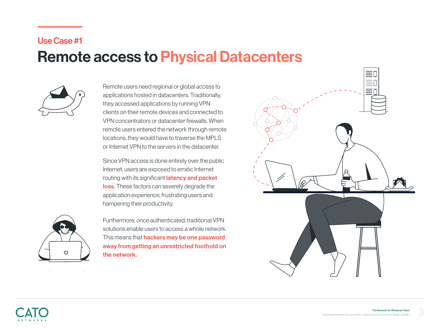#### Use Case #1

#### **Remote access to Physical Datacenters**



Remote users need regional or global access to applications hosted in datacenters. Traditionally, they accessed applications by running VPN clients on their remote devices and connected to VPN concentrators or datacenter firewalls. When remote users entered the network through remote locations, they would have to traverse the MPLS or Internet VPN to the servers in the datacenter.

Since VPN access is done entirely over the public Internet, users are exposed to erratic Internet routing with its significant *latency and packet* loss. These factors can severely degrade the application experience, frustrating users and hampering their productivity.



Furthermore, once authenticated, traditional VPN solutions enable users to access a whole network. This means that **hackers may be one password** away from getting an unrestricted foothold on the network.

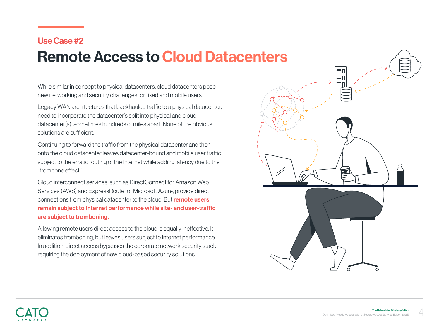#### Use Case #2

#### **Remote Access to Cloud Datacenters**

While similar in concept to physical datacenters, cloud datacenters pose new networking and security challenges for fixed and mobile users.

Legacy WAN architectures that backhauled traffic to a physical datacenter, need to incorporate the datacenter's split into physical and cloud datacenter(s), sometimes hundreds of miles apart. None of the obvious solutions are sufficient.

Continuing to forward the traffic from the physical datacenter and then onto the cloud datacenter leaves datacenter-bound and mobile user traffic subject to the erratic routing of the Internet while adding latency due to the "trombone effect."

Cloud interconnect services, such as DirectConnect for Amazon Web Services (AWS) and ExpressRoute for Microsoft Azure, provide direct connections from physical datacenter to the cloud. But **remote users** remain subject to Internet performance while site- and user-traffic are subject to tromboning.

Allowing remote users direct access to the cloud is equally ineffective. It eliminates tromboning, but leaves users subject to Internet performance. In addition, direct access bypasses the corporate network security stack, requiring the deployment of new cloud-based security solutions.

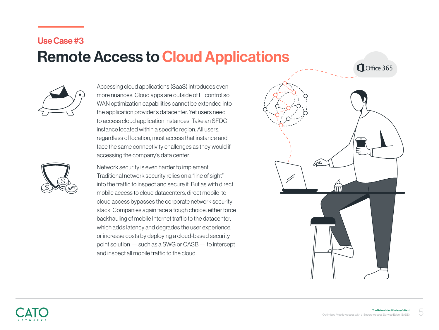#### Use Case #3

#### **Remote Access to Cloud Applications**

Office 365



Accessing cloud applications (SaaS) introduces even more nuances. Cloud apps are outside of IT control so WAN optimization capabilities cannot be extended into the application provider's datacenter. Yet users need to access cloud application instances. Take an SFDC instance located within a specific region. All users, regardless of location, must access that instance and face the same connectivity challenges as they would if accessing the company's data center.



Network security is even harder to implement. Traditional network security relies on a "line of sight" into the traffic to inspect and secure it. But as with direct cloud access bypasses the corporate network security mobile access to cloud datacenters, direct mobile-tostack. Companies again face a tough choice: either force backhauling of mobile Internet traffic to the datacenter, which adds latency and degrades the user experience, or increase costs by deploying a cloud-based security point solution  $-$  such as a SWG or CASB  $-$  to intercept and inspect all mobile traffic to the cloud.

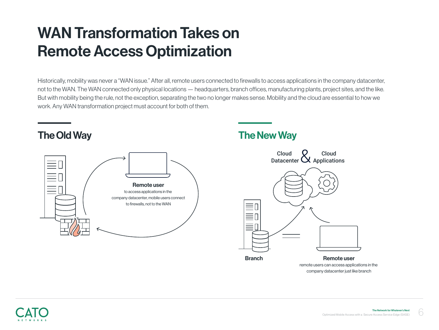### **WAN Transformation Takes on Remote Access Optimization**

Historically, mobility was never a "WAN issue." After all, remote users connected to firewalls to access applications in the company datacenter, not to the WAN. The WAN connected only physical locations — headquarters, branch offices, manufacturing plants, project sites, and the like. But with mobility being the rule, not the exception, separating the two no longer makes sense. Mobility and the cloud are essential to how we work. Any WAN transformation project must account for both of them.



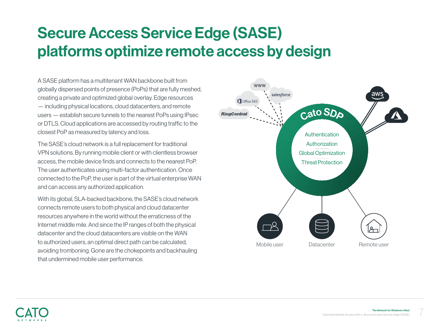### **Secure Access Service Edge (SASE)** platforms optimize remote access by design

A SASE platform has a multitenant WAN backbone built from globally dispersed points of presence (PoPs) that are fully meshed, creating a private and optimized global overlay. Edge resources - including physical locations, cloud datacenters, and remote users — establish secure tunnels to the nearest PoPs using IPsec the to the to traffic to the to traffic to the to the traffic to the set are accessed by routing traffic to the closest PoP as measured by latency and loss.

The SASE's cloud network is a full replacement for traditional VPN solutions. By running mobile client or with clientless browser access, the mobile device finds and connects to the nearest PoP. The user authenticates using multi-factor authentication. Once connected to the PoP, the user is part of the virtual enterprise WAN and can access any authorized application.

With its global, SLA-backed backbone, the SASE's cloud network connects remote users to both physical and cloud datacenter resources anywhere in the world without the erraticness of the Internet middle mile. And since the IP ranges of both the physical datacenter and the cloud datacenters are visible on the WAN to authorized users, an optimal direct path can be calculated. avoiding tromboning. Gone are the chokepoints and backhauling that undermined mobile user performance.

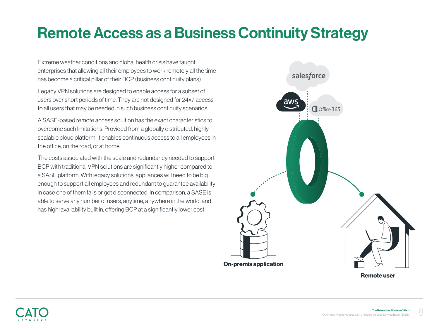#### **Remote Access as a Business Continuity Strategy**

Extreme weather conditions and global health crisis have taught enterprises that allowing all their employees to work remotely all the time has become a critical pillar of their BCP (business continuity plans).

Legacy VPN solutions are designed to enable access for a subset of users over short periods of time. They are not designed for 24x7 access to all users that may be needed in such business continuity scenarios.

A SASE-based remote access solution has the exact characteristics to overcome such limitations. Provided from a globally distributed, highly scalable cloud platform, it enables continuous access to all employees in the office, on the road, or at home.

The costs associated with the scale and redundancy needed to support BCP with traditional VPN solutions are significantly higher compared to a SASE platform. With legacy solutions, appliances will need to be big enough to support all employees and redundant to guarantee availability in case one of them fails or get disconnected. In comparison, a SASE is able to serve any number of users, anytime, anywhere in the world, and has high-availability built in, offering BCP at a significantly lower cost.



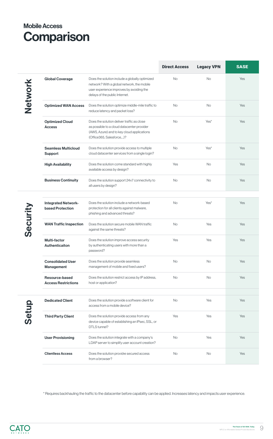Network Network

|                                                       |                                                                                                                                                                            | <b>Direct Access</b> | <b>Legacy VPN</b> | <b>SASE</b> |
|-------------------------------------------------------|----------------------------------------------------------------------------------------------------------------------------------------------------------------------------|----------------------|-------------------|-------------|
| <b>Global Coverage</b>                                | Does the solution include a globally optimized<br>network? With a global network, the mobile<br>user experience improves by avoiding the<br>delays of the public Internet. | <b>No</b>            | <b>No</b>         | Yes         |
| <b>Optimized WAN Access</b>                           | Does the solution optimize middle-mile traffic to<br>reduce latency and packet loss?                                                                                       | <b>No</b>            | <b>No</b>         | Yes         |
| <b>Optimized Cloud</b><br><b>Access</b>               | Does the solution deliver traffic as close<br>as possible to a cloud datacenter provider<br>(AWS, Azure) and to key cloud applications<br>(Office365, Salesforce,)?        | <b>No</b>            | Yes <sup>*</sup>  | Yes         |
| <b>Seamless Multicloud</b><br><b>Support</b>          | Does the solution provide access to multiple<br>cloud datacenter services from a single login?                                                                             | <b>No</b>            | Yes*              | Yes         |
| <b>High Availability</b>                              | Does the solution come standard with highly<br>available access by design?                                                                                                 | Yes                  | <b>No</b>         | Yes         |
| <b>Business Continuity</b>                            | Does the solution support 24x7 connectivity to<br>all users by design?                                                                                                     | No.                  | No.               | Yes         |
| <b>Integrated Network-</b><br><b>based Protection</b> | Does the solution include a network-based<br>protection for all clients against malware,<br>phishing and advanced threats?                                                 | <b>No</b>            | Yes*              | Yes         |
| <b>WAN Traffic Inspection</b>                         | Does the solution secure mobile WAN traffic<br>against the same threats?                                                                                                   | <b>No</b>            | Yes               | Yes         |

Security

### **Mobile Access** Comparison

Setup

| <b>Multi-factor</b><br><b>Authenticaiton</b>        | Does the solution improve access security<br>by authenticating users with more than a<br>password?            | Yes       | Yes       | Yes |
|-----------------------------------------------------|---------------------------------------------------------------------------------------------------------------|-----------|-----------|-----|
| <b>Consolidated User</b><br><b>Management</b>       | Does the solution provide seamless<br>management of mobile and fixed users?                                   | <b>No</b> | <b>No</b> | Yes |
| <b>Resource-based</b><br><b>Access Restrictions</b> | Does the solution restrict access by IP address,<br>host or application?                                      | <b>No</b> | <b>No</b> | Yes |
|                                                     |                                                                                                               |           |           |     |
| <b>Dedicated Client</b>                             | Does the solution provide a software client for<br>access from a mobile device?                               | <b>No</b> | Yes       | Yes |
| <b>Third Party Client</b>                           | Does the solution provide access from any<br>device capable of establishing an IPsec, SSL, or<br>DTLS tunnel? | Yes       | Yes       | Yes |
| <b>User Provisioning</b>                            | Does the solution integrate with a company's<br>LDAP server to simplify user account creation?                | <b>No</b> | Yes       | Yes |
| <b>Clientless Access</b>                            | Does the solution providre secured access<br>from a browser?                                                  | <b>No</b> | <b>No</b> | Yes |

\* Requires backhauling the traffic to the datacenter before capability can be applied. Increases latency and impacts user experience.